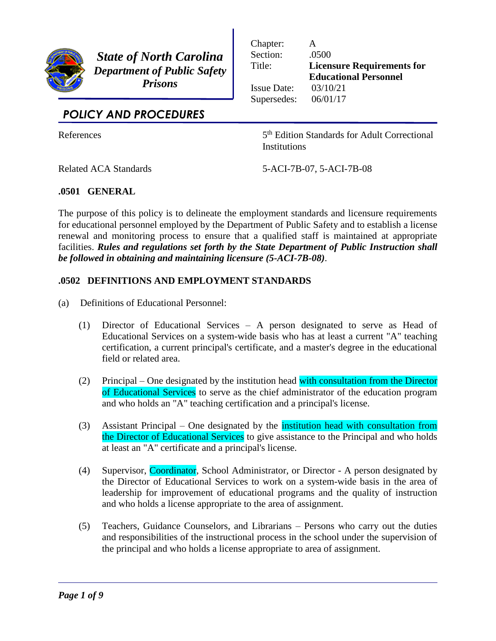

*State of North Carolina Department of Public Safety Prisons*

| Chapter:           |                                   |
|--------------------|-----------------------------------|
| Section:           | .0500                             |
| Title:             | <b>Licensure Requirements for</b> |
|                    | <b>Educational Personnel</b>      |
| <b>Issue Date:</b> | 03/10/21                          |
| Supersedes:        | 06/01/17                          |
|                    |                                   |

# *POLICY AND PROCEDURES*

**References** 

5<sup>th</sup> Edition Standards for Adult Correctional **Institutions** 

Related ACA Standards 5-ACI-7B-07, 5-ACI-7B-08

# **.0501 GENERAL**

The purpose of this policy is to delineate the employment standards and licensure requirements for educational personnel employed by the Department of Public Safety and to establish a license renewal and monitoring process to ensure that a qualified staff is maintained at appropriate facilities. *Rules and regulations set forth by the State Department of Public Instruction shall be followed in obtaining and maintaining licensure (5-ACI-7B-08)*.

## **.0502 DEFINITIONS AND EMPLOYMENT STANDARDS**

- (a) Definitions of Educational Personnel:
	- (1) Director of Educational Services A person designated to serve as Head of Educational Services on a system-wide basis who has at least a current "A" teaching certification, a current principal's certificate, and a master's degree in the educational field or related area.
	- (2) Principal One designated by the institution head with consultation from the Director of Educational Services to serve as the chief administrator of the education program and who holds an "A" teaching certification and a principal's license.
	- (3) Assistant Principal One designated by the institution head with consultation from the Director of Educational Services to give assistance to the Principal and who holds at least an "A" certificate and a principal's license.
	- (4) Supervisor, Coordinator, School Administrator, or Director A person designated by the Director of Educational Services to work on a system-wide basis in the area of leadership for improvement of educational programs and the quality of instruction and who holds a license appropriate to the area of assignment.
	- (5) Teachers, Guidance Counselors, and Librarians Persons who carry out the duties and responsibilities of the instructional process in the school under the supervision of the principal and who holds a license appropriate to area of assignment.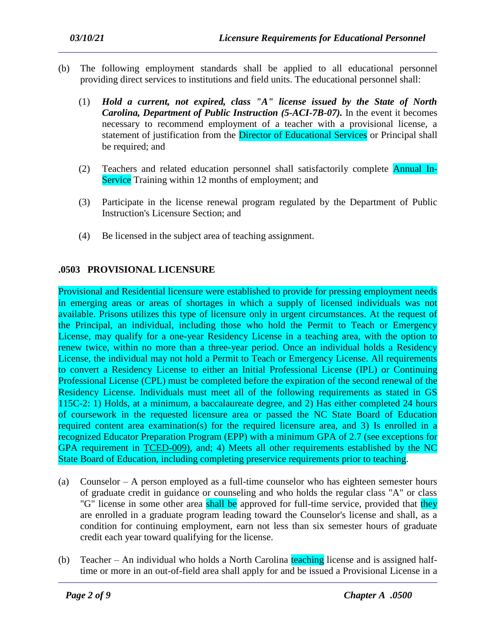- (b) The following employment standards shall be applied to all educational personnel providing direct services to institutions and field units. The educational personnel shall:
	- (1) *Hold a current, not expired, class "A" license issued by the State of North Carolina, Department of Public Instruction (5-ACI-7B-07).* In the event it becomes necessary to recommend employment of a teacher with a provisional license, a statement of justification from the Director of Educational Services or Principal shall be required; and
	- (2) Teachers and related education personnel shall satisfactorily complete Annual In-Service Training within 12 months of employment; and
	- (3) Participate in the license renewal program regulated by the Department of Public Instruction's Licensure Section; and
	- (4) Be licensed in the subject area of teaching assignment.

# **.0503 PROVISIONAL LICENSURE**

Provisional and Residential licensure were established to provide for pressing employment needs in emerging areas or areas of shortages in which a supply of licensed individuals was not available. Prisons utilizes this type of licensure only in urgent circumstances. At the request of the Principal, an individual, including those who hold the Permit to Teach or Emergency License, may qualify for a one-year Residency License in a teaching area, with the option to renew twice, within no more than a three-year period. Once an individual holds a Residency License, the individual may not hold a Permit to Teach or Emergency License. All requirements to convert a Residency License to either an Initial Professional License (IPL) or Continuing Professional License (CPL) must be completed before the expiration of the second renewal of the Residency License. Individuals must meet all of the following requirements as stated in GS 115C-2: 1) Holds, at a minimum, a baccalaureate degree, and 2) Has either completed 24 hours of coursework in the requested licensure area or passed the NC State Board of Education required content area examination(s) for the required licensure area, and 3) Is enrolled in a recognized Educator Preparation Program (EPP) with a minimum GPA of 2.7 (see exceptions for GPA requirement in TCED-009), and; 4) Meets all other requirements established by the NC State Board of Education, including completing preservice requirements prior to teaching.

- (a) Counselor A person employed as a full-time counselor who has eighteen semester hours of graduate credit in guidance or counseling and who holds the regular class "A" or class "G" license in some other area shall be approved for full-time service, provided that they are enrolled in a graduate program leading toward the Counselor's license and shall, as a condition for continuing employment, earn not less than six semester hours of graduate credit each year toward qualifying for the license.
- (b) Teacher An individual who holds a North Carolina teaching license and is assigned halftime or more in an out-of-field area shall apply for and be issued a Provisional License in a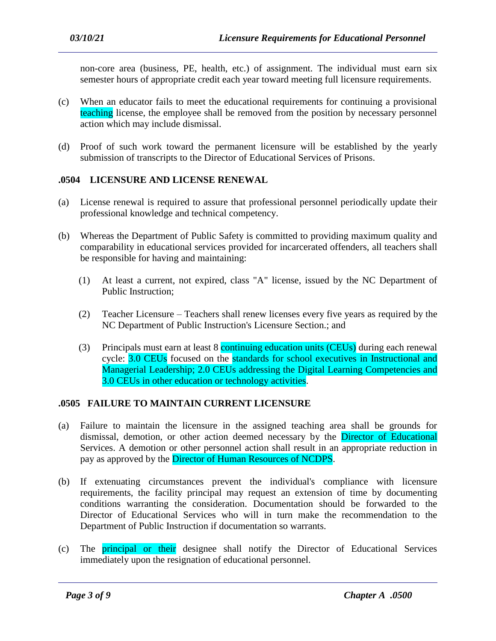non-core area (business, PE, health, etc.) of assignment. The individual must earn six semester hours of appropriate credit each year toward meeting full licensure requirements.

- (c) When an educator fails to meet the educational requirements for continuing a provisional teaching license, the employee shall be removed from the position by necessary personnel action which may include dismissal.
- (d) Proof of such work toward the permanent licensure will be established by the yearly submission of transcripts to the Director of Educational Services of Prisons.

#### **.0504 LICENSURE AND LICENSE RENEWAL**

- (a) License renewal is required to assure that professional personnel periodically update their professional knowledge and technical competency.
- (b) Whereas the Department of Public Safety is committed to providing maximum quality and comparability in educational services provided for incarcerated offenders, all teachers shall be responsible for having and maintaining:
	- (1) At least a current, not expired, class "A" license, issued by the NC Department of Public Instruction;
	- (2) Teacher Licensure Teachers shall renew licenses every five years as required by the NC Department of Public Instruction's Licensure Section.; and
	- (3) Principals must earn at least 8 continuing education units (CEUs) during each renewal cycle: 3.0 CEUs focused on the standards for school executives in Instructional and Managerial Leadership; 2.0 CEUs addressing the Digital Learning Competencies and 3.0 CEUs in other education or technology activities.

#### **.0505 FAILURE TO MAINTAIN CURRENT LICENSURE**

- (a) Failure to maintain the licensure in the assigned teaching area shall be grounds for dismissal, demotion, or other action deemed necessary by the Director of Educational Services. A demotion or other personnel action shall result in an appropriate reduction in pay as approved by the Director of Human Resources of NCDPS.
- (b) If extenuating circumstances prevent the individual's compliance with licensure requirements, the facility principal may request an extension of time by documenting conditions warranting the consideration. Documentation should be forwarded to the Director of Educational Services who will in turn make the recommendation to the Department of Public Instruction if documentation so warrants.
- (c) The principal or their designee shall notify the Director of Educational Services immediately upon the resignation of educational personnel.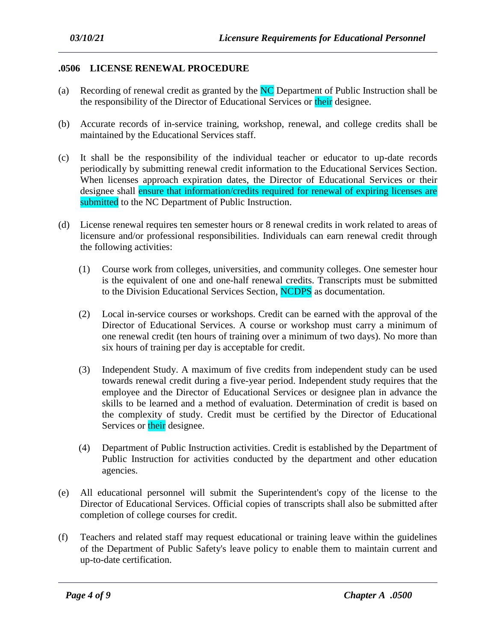### **.0506 LICENSE RENEWAL PROCEDURE**

- (a) Recording of renewal credit as granted by the  $NC$  Department of Public Instruction shall be the responsibility of the Director of Educational Services or their designee.
- (b) Accurate records of in-service training, workshop, renewal, and college credits shall be maintained by the Educational Services staff.
- (c) It shall be the responsibility of the individual teacher or educator to up-date records periodically by submitting renewal credit information to the Educational Services Section. When licenses approach expiration dates, the Director of Educational Services or their designee shall ensure that information/credits required for renewal of expiring licenses are submitted to the NC Department of Public Instruction.
- (d) License renewal requires ten semester hours or 8 renewal credits in work related to areas of licensure and/or professional responsibilities. Individuals can earn renewal credit through the following activities:
	- (1) Course work from colleges, universities, and community colleges. One semester hour is the equivalent of one and one-half renewal credits. Transcripts must be submitted to the Division Educational Services Section, NCDPS as documentation.
	- (2) Local in-service courses or workshops. Credit can be earned with the approval of the Director of Educational Services. A course or workshop must carry a minimum of one renewal credit (ten hours of training over a minimum of two days). No more than six hours of training per day is acceptable for credit.
	- (3) Independent Study. A maximum of five credits from independent study can be used towards renewal credit during a five-year period. Independent study requires that the employee and the Director of Educational Services or designee plan in advance the skills to be learned and a method of evaluation. Determination of credit is based on the complexity of study. Credit must be certified by the Director of Educational Services or their designee.
	- (4) Department of Public Instruction activities. Credit is established by the Department of Public Instruction for activities conducted by the department and other education agencies.
- (e) All educational personnel will submit the Superintendent's copy of the license to the Director of Educational Services. Official copies of transcripts shall also be submitted after completion of college courses for credit.
- (f) Teachers and related staff may request educational or training leave within the guidelines of the Department of Public Safety's leave policy to enable them to maintain current and up-to-date certification.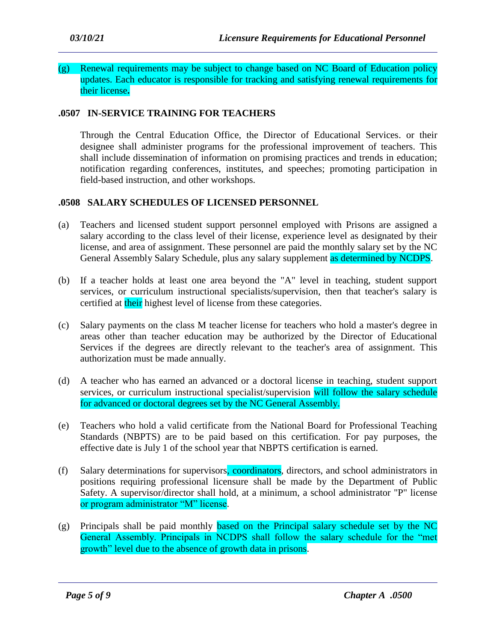#### (g) Renewal requirements may be subject to change based on NC Board of Education policy updates. Each educator is responsible for tracking and satisfying renewal requirements for their license**.**

### **.0507 IN-SERVICE TRAINING FOR TEACHERS**

Through the Central Education Office, the Director of Educational Services. or their designee shall administer programs for the professional improvement of teachers. This shall include dissemination of information on promising practices and trends in education; notification regarding conferences, institutes, and speeches; promoting participation in field-based instruction, and other workshops.

#### **.0508 SALARY SCHEDULES OF LICENSED PERSONNEL**

- (a) Teachers and licensed student support personnel employed with Prisons are assigned a salary according to the class level of their license, experience level as designated by their license, and area of assignment. These personnel are paid the monthly salary set by the NC General Assembly Salary Schedule, plus any salary supplement as determined by NCDPS.
- (b) If a teacher holds at least one area beyond the "A" level in teaching, student support services, or curriculum instructional specialists/supervision, then that teacher's salary is certified at their highest level of license from these categories.
- (c) Salary payments on the class M teacher license for teachers who hold a master's degree in areas other than teacher education may be authorized by the Director of Educational Services if the degrees are directly relevant to the teacher's area of assignment. This authorization must be made annually.
- (d) A teacher who has earned an advanced or a doctoral license in teaching, student support services, or curriculum instructional specialist/supervision will follow the salary schedule for advanced or doctoral degrees set by the NC General Assembly.
- (e) Teachers who hold a valid certificate from the National Board for Professional Teaching Standards (NBPTS) are to be paid based on this certification. For pay purposes, the effective date is July 1 of the school year that NBPTS certification is earned.
- (f) Salary determinations for supervisors, coordinators, directors, and school administrators in positions requiring professional licensure shall be made by the Department of Public Safety. A supervisor/director shall hold, at a minimum, a school administrator "P" license or program administrator "M" license.
- (g) Principals shall be paid monthly based on the Principal salary schedule set by the NC General Assembly. Principals in NCDPS shall follow the salary schedule for the "met growth" level due to the absence of growth data in prisons.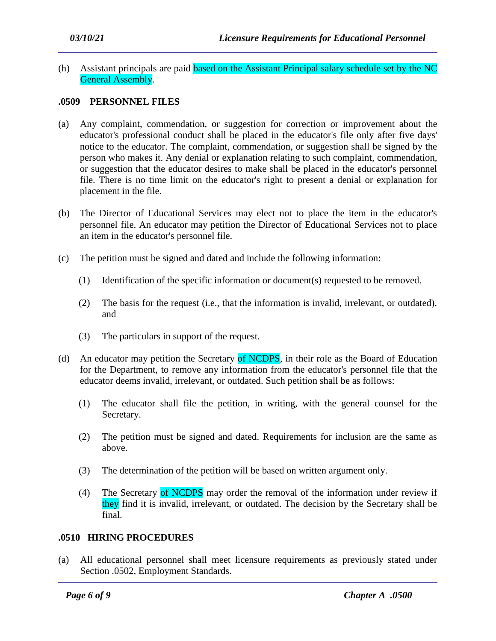(h) Assistant principals are paid based on the Assistant Principal salary schedule set by the NC General Assembly.

#### **.0509 PERSONNEL FILES**

- (a) Any complaint, commendation, or suggestion for correction or improvement about the educator's professional conduct shall be placed in the educator's file only after five days' notice to the educator. The complaint, commendation, or suggestion shall be signed by the person who makes it. Any denial or explanation relating to such complaint, commendation, or suggestion that the educator desires to make shall be placed in the educator's personnel file. There is no time limit on the educator's right to present a denial or explanation for placement in the file.
- (b) The Director of Educational Services may elect not to place the item in the educator's personnel file. An educator may petition the Director of Educational Services not to place an item in the educator's personnel file.
- (c) The petition must be signed and dated and include the following information:
	- (1) Identification of the specific information or document(s) requested to be removed.
	- (2) The basis for the request (i.e., that the information is invalid, irrelevant, or outdated), and
	- (3) The particulars in support of the request.
- (d) An educator may petition the Secretary of NCDPS, in their role as the Board of Education for the Department, to remove any information from the educator's personnel file that the educator deems invalid, irrelevant, or outdated. Such petition shall be as follows:
	- (1) The educator shall file the petition, in writing, with the general counsel for the Secretary.
	- (2) The petition must be signed and dated. Requirements for inclusion are the same as above.
	- (3) The determination of the petition will be based on written argument only.
	- (4) The Secretary of NCDPS may order the removal of the information under review if they find it is invalid, irrelevant, or outdated. The decision by the Secretary shall be final.

#### **.0510 HIRING PROCEDURES**

(a) All educational personnel shall meet licensure requirements as previously stated under Section .0502, Employment Standards.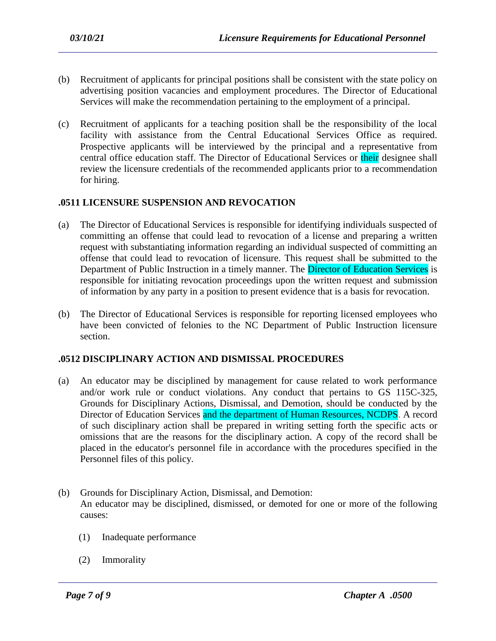- (b) Recruitment of applicants for principal positions shall be consistent with the state policy on advertising position vacancies and employment procedures. The Director of Educational Services will make the recommendation pertaining to the employment of a principal.
- (c) Recruitment of applicants for a teaching position shall be the responsibility of the local facility with assistance from the Central Educational Services Office as required. Prospective applicants will be interviewed by the principal and a representative from central office education staff. The Director of Educational Services or their designee shall review the licensure credentials of the recommended applicants prior to a recommendation for hiring.

# **.0511 LICENSURE SUSPENSION AND REVOCATION**

- (a) The Director of Educational Services is responsible for identifying individuals suspected of committing an offense that could lead to revocation of a license and preparing a written request with substantiating information regarding an individual suspected of committing an offense that could lead to revocation of licensure. This request shall be submitted to the Department of Public Instruction in a timely manner. The Director of Education Services is responsible for initiating revocation proceedings upon the written request and submission of information by any party in a position to present evidence that is a basis for revocation.
- (b) The Director of Educational Services is responsible for reporting licensed employees who have been convicted of felonies to the NC Department of Public Instruction licensure section.

## **.0512 DISCIPLINARY ACTION AND DISMISSAL PROCEDURES**

- (a) An educator may be disciplined by management for cause related to work performance and/or work rule or conduct violations. Any conduct that pertains to GS 115C-325, Grounds for Disciplinary Actions, Dismissal, and Demotion, should be conducted by the Director of Education Services and the department of Human Resources, NCDPS. A record of such disciplinary action shall be prepared in writing setting forth the specific acts or omissions that are the reasons for the disciplinary action. A copy of the record shall be placed in the educator's personnel file in accordance with the procedures specified in the Personnel files of this policy.
- (b) Grounds for Disciplinary Action, Dismissal, and Demotion: An educator may be disciplined, dismissed, or demoted for one or more of the following causes:

- (1) Inadequate performance
- (2) Immorality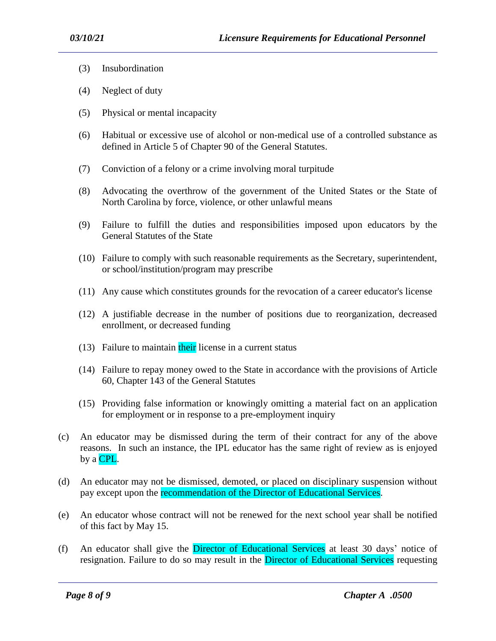- (3) Insubordination
- (4) Neglect of duty
- (5) Physical or mental incapacity
- (6) Habitual or excessive use of alcohol or non-medical use of a controlled substance as defined in Article 5 of Chapter 90 of the General Statutes.
- (7) Conviction of a felony or a crime involving moral turpitude
- (8) Advocating the overthrow of the government of the United States or the State of North Carolina by force, violence, or other unlawful means
- (9) Failure to fulfill the duties and responsibilities imposed upon educators by the General Statutes of the State
- (10) Failure to comply with such reasonable requirements as the Secretary, superintendent, or school/institution/program may prescribe
- (11) Any cause which constitutes grounds for the revocation of a career educator's license
- (12) A justifiable decrease in the number of positions due to reorganization, decreased enrollment, or decreased funding
- $(13)$  Failure to maintain their license in a current status
- (14) Failure to repay money owed to the State in accordance with the provisions of Article 60, Chapter 143 of the General Statutes
- (15) Providing false information or knowingly omitting a material fact on an application for employment or in response to a pre-employment inquiry
- (c) An educator may be dismissed during the term of their contract for any of the above reasons. In such an instance, the IPL educator has the same right of review as is enjoyed by a CPL.
- (d) An educator may not be dismissed, demoted, or placed on disciplinary suspension without pay except upon the recommendation of the Director of Educational Services.
- (e) An educator whose contract will not be renewed for the next school year shall be notified of this fact by May 15.
- (f) An educator shall give the Director of Educational Services at least 30 days' notice of resignation. Failure to do so may result in the Director of Educational Services requesting